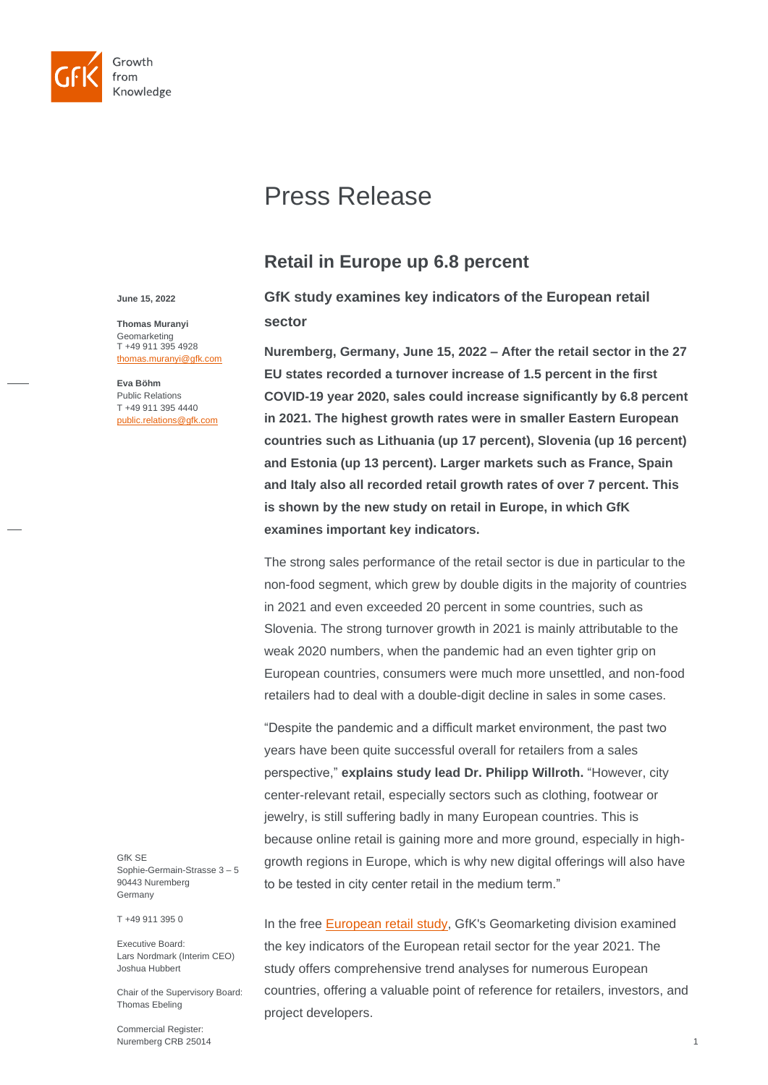

# Press Release

## **Retail in Europe up 6.8 percent**

**GfK study examines key indicators of the European retail sector**

**Nuremberg, Germany, June 15, 2022 – After the retail sector in the 27 EU states recorded a turnover increase of 1.5 percent in the first COVID-19 year 2020, sales could increase significantly by 6.8 percent in 2021. The highest growth rates were in smaller Eastern European countries such as Lithuania (up 17 percent), Slovenia (up 16 percent) and Estonia (up 13 percent). Larger markets such as France, Spain and Italy also all recorded retail growth rates of over 7 percent. This is shown by the new study on retail in Europe, in which GfK examines important key indicators.**

The strong sales performance of the retail sector is due in particular to the non-food segment, which grew by double digits in the majority of countries in 2021 and even exceeded 20 percent in some countries, such as Slovenia. The strong turnover growth in 2021 is mainly attributable to the weak 2020 numbers, when the pandemic had an even tighter grip on European countries, consumers were much more unsettled, and non-food retailers had to deal with a double-digit decline in sales in some cases.

"Despite the pandemic and a difficult market environment, the past two years have been quite successful overall for retailers from a sales perspective," **explains study lead Dr. Philipp Willroth.** "However, city center-relevant retail, especially sectors such as clothing, footwear or jewelry, is still suffering badly in many European countries. This is because online retail is gaining more and more ground, especially in highgrowth regions in Europe, which is why new digital offerings will also have to be tested in city center retail in the medium term."

In the free [European retail study,](http://www.gfk-geomarketing.com/european-retail) GfK's Geomarketing division examined the key indicators of the European retail sector for the year 2021. The study offers comprehensive trend analyses for numerous European countries, offering a valuable point of reference for retailers, investors, and project developers.

**June 15, 2022**

**Thomas Muranyi** Geomarketing T +49 911 395 4928 [thomas.muranyi@gfk.com](mailto:thomas.muranyi@gfk.com)

**Eva Böhm** Public Relations T +49 911 395 4440 [public.relations@gfk.com](mailto:public.relations@gfk.com)

GfK SE Sophie-Germain-Strasse 3 – 5 90443 Nuremberg Germany

T +49 911 395 0

Executive Board: Lars Nordmark (Interim CEO) Joshua Hubbert

Chair of the Supervisory Board: Thomas Ebeling

Commercial Register: Nuremberg CRB 25014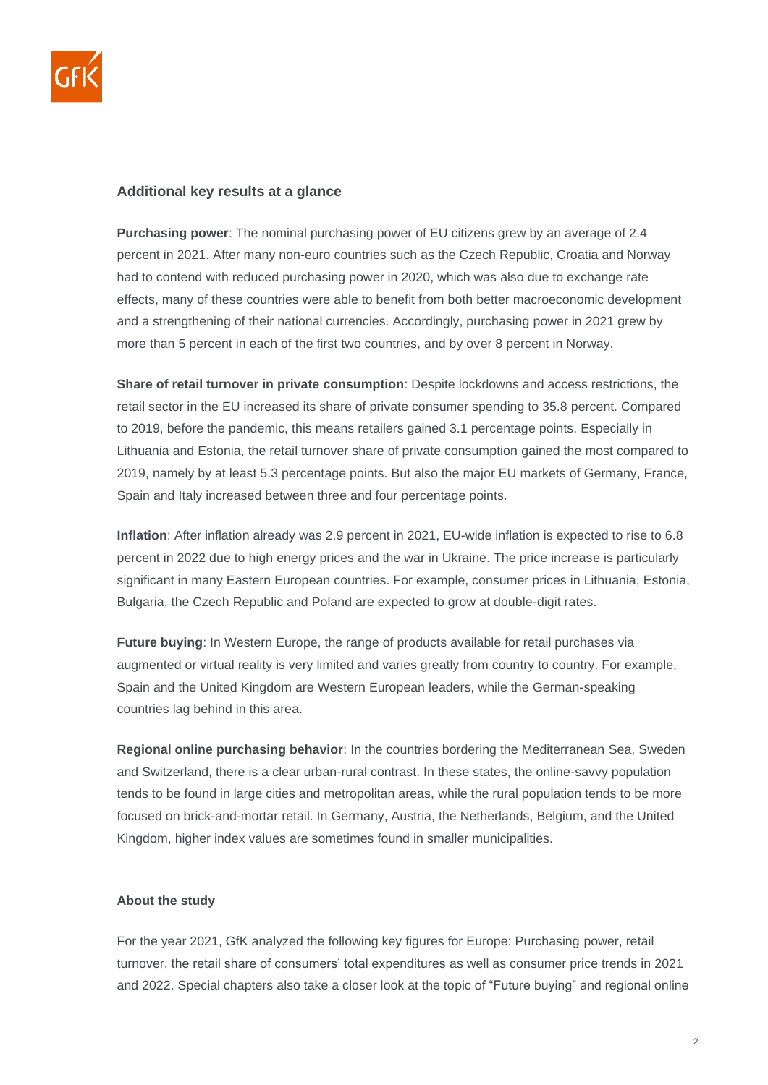

### **Additional key results at a glance**

**Purchasing power**: The nominal purchasing power of EU citizens grew by an average of 2.4 percent in 2021. After many non-euro countries such as the Czech Republic, Croatia and Norway had to contend with reduced purchasing power in 2020, which was also due to exchange rate effects, many of these countries were able to benefit from both better macroeconomic development and a strengthening of their national currencies. Accordingly, purchasing power in 2021 grew by more than 5 percent in each of the first two countries, and by over 8 percent in Norway.

**Share of retail turnover in private consumption**: Despite lockdowns and access restrictions, the retail sector in the EU increased its share of private consumer spending to 35.8 percent. Compared to 2019, before the pandemic, this means retailers gained 3.1 percentage points. Especially in Lithuania and Estonia, the retail turnover share of private consumption gained the most compared to 2019, namely by at least 5.3 percentage points. But also the major EU markets of Germany, France, Spain and Italy increased between three and four percentage points.

**Inflation**: After inflation already was 2.9 percent in 2021, EU-wide inflation is expected to rise to 6.8 percent in 2022 due to high energy prices and the war in Ukraine. The price increase is particularly significant in many Eastern European countries. For example, consumer prices in Lithuania, Estonia, Bulgaria, the Czech Republic and Poland are expected to grow at double-digit rates.

**Future buying**: In Western Europe, the range of products available for retail purchases via augmented or virtual reality is very limited and varies greatly from country to country. For example, Spain and the United Kingdom are Western European leaders, while the German-speaking countries lag behind in this area.

**Regional online purchasing behavior**: In the countries bordering the Mediterranean Sea, Sweden and Switzerland, there is a clear urban-rural contrast. In these states, the online-savvy population tends to be found in large cities and metropolitan areas, while the rural population tends to be more focused on brick-and-mortar retail. In Germany, Austria, the Netherlands, Belgium, and the United Kingdom, higher index values are sometimes found in smaller municipalities.

#### **About the study**

For the year 2021, GfK analyzed the following key figures for Europe: Purchasing power, retail turnover, the retail share of consumers' total expenditures as well as consumer price trends in 2021 and 2022. Special chapters also take a closer look at the topic of "Future buying" and regional online